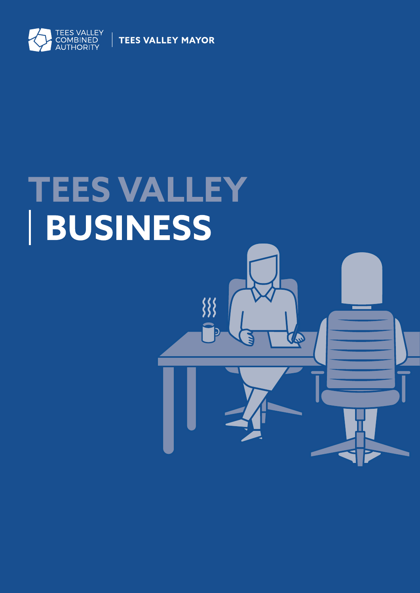

**TEES VALLEY MAYOR** 

# **TEES VALLEY BUSINESS**

 $\frac{333}{255}$ 

TO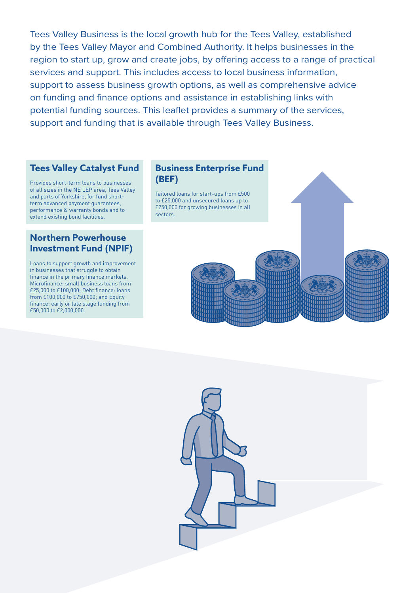Tees Valley Business is the local growth hub for the Tees Valley, established by the Tees Valley Mayor and Combined Authority. It helps businesses in the region to start up, grow and create jobs, by offering access to a range of practical services and support. This includes access to local business information, support to assess business growth options, as well as comprehensive advice on funding and finance options and assistance in establishing links with potential funding sources. This leaflet provides a summary of the services, support and funding that is available through Tees Valley Business.

# **Tees Valley Catalyst Fund**

Provides short-term loans to businesses of all sizes in the NE LEP area, Tees Valley and parts of Yorkshire, for fund shortterm advanced payment guarantees, performance & warranty bonds and to extend existing bond facilities.

#### **Business Enterprise Fund (BEF)**

Tailored loans for start-ups from £500 to £25,000 and unsecured loans up to £250,000 for growing businesses in all sectors.

#### **Northern Powerhouse Investment Fund (NPIF)**

Loans to support growth and improvement in businesses that struggle to obtain finance in the primary finance markets. Microfinance: small business loans from £25,000 to £100,000; Debt finance: loans from £100,000 to £750,000; and Equity finance: early or late stage funding from £50,000 to £2,000,000.



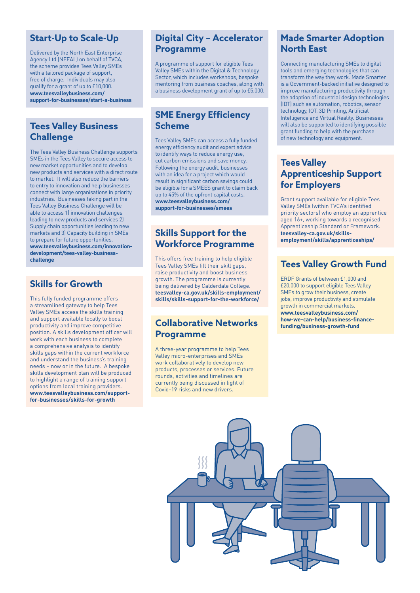#### **Start-Up to Scale-Up**

Delivered by the North East Enterprise Agency Ltd (NEEAL) on behalf of TVCA, the scheme provides Tees Valley SMEs with a tailored package of support, free of charge. Individuals may also qualify for a grant of up to £10,000. **[www.teesvalleybusiness.com/](https://www.teesvalleybusiness.com/how-we-can-help/starting-a-business/) [support-for-businesses/start-a-business](https://www.teesvalleybusiness.com/how-we-can-help/starting-a-business/)**

#### **Tees Valley Business Challenge**

The Tees Valley Business Challenge supports SMEs in the Tees Valley to secure access to new market opportunities and to develop new products and services with a direct route to market. It will also reduce the barriers to entry to innovation and help businesses connect with large organisations in priority industries. Businesses taking part in the Tees Valley Business Challenge will be able to access 1) innovation challenges leading to new products and services 2) Supply chain opportunities leading to new markets and 3) Capacity building in SMEs to prepare for future opportunities. **[www.teesvalleybusiness.com/innovation](https://www.teesvalleybusiness.com/innovation-development/tees-valley-business-challenge)[development/tees-valley-business](https://www.teesvalleybusiness.com/innovation-development/tees-valley-business-challenge)[challenge](https://www.teesvalleybusiness.com/innovation-development/tees-valley-business-challenge)**

# **Skills for Growth**

This fully funded programme offers a streamlined gateway to help Tees Valley SMEs access the skills training and support available locally to boost productivity and improve competitive position. A skills development officer will work with each business to complete a comprehensive analysis to identify skills gaps within the current workforce and understand the business's training needs – now or in the future. A bespoke skills development plan will be produced to highlight a range of training support options from local training providers. **[www.teesvalleybusiness.com/support](https://www.teesvalleybusiness.com/people-skills/training-and-skills-for-your-staff-skills-for-growth/)[for-businesses/skills-for-growth](https://www.teesvalleybusiness.com/people-skills/training-and-skills-for-your-staff-skills-for-growth/)**

#### **Digital City – Accelerator Programme**

A programme of support for eligible Tees Valley SMEs within the Digital & Technology Sector, which includes workshops, bespoke mentoring from business coaches, along with a business development grant of up to £5,000.

#### **SME Energy Efficiency Scheme**

Tees Valley SMEs can access a fully funded energy efficiency audit and expert advice to identify ways to reduce energy use, cut carbon emissions and save money. Following the energy audit, businesses with an idea for a project which would result in significant carbon savings could be eligible for a SMEES grant to claim back up to 45% of the upfront capital costs. **[www.teesvalleybusiness.com/](https://www.teesvalleybusiness.com/energy-clean-growth/sme-energy-efficiency-scheme/) [support-for-businesses/smees](https://www.teesvalleybusiness.com/energy-clean-growth/sme-energy-efficiency-scheme/)**

#### **Skills Support for the Workforce Programme**

This offers free training to help eligible Tees Valley SMEs fill their skill gaps, raise productivity and boost business growth. The programme is currently being delivered by Calderdale College. **[teesvalley-ca.gov.uk/skills-employment/](https://teesvalley-ca.gov.uk/skills-employment/skills/skills-support-for-the-workforce/) [skills/skills-support-for-the-workforce/](https://teesvalley-ca.gov.uk/skills-employment/skills/skills-support-for-the-workforce/)**

#### **Collaborative Networks Programme**

A three-year programme to help Tees Valley micro-enterprises and SMEs work collaboratively to develop new products, processes or services. Future rounds, activities and timelines are currently being discussed in light of Covid-19 risks and new drivers.

#### **Made Smarter Adoption North East**

Connecting manufacturing SMEs to digital tools and emerging technologies that can transform the way they work. Made Smarter is a Government-backed initiative designed to improve manufacturing productivity through the adoption of industrial design technologies (IDT) such as automation, robotics, sensor technology, IOT, 3D Printing, Artificial Intelligence and Virtual Reality. Businesses will also be supported to identifying possible grant funding to help with the purchase of new technology and equipment.

# **Tees Valley Apprenticeship Support for Employers**

Grant support available for eligible Tees Valley SMEs (within TVCA's identified priority sectors) who employ an apprentice aged 16+, working towards a recognised Apprenticeship Standard or Framework. **[teesvalley-ca.gov.uk/skills](https://teesvalley-ca.gov.uk/skills-employment/skills/apprenticeships/)[employment/skills/apprenticeships/](https://teesvalley-ca.gov.uk/skills-employment/skills/apprenticeships/)**

# **Tees Valley Growth Fund**

ERDF Grants of between £1,000 and £20,000 to support eligible Tees Valley SMEs to grow their business, create jobs, improve productivity and stimulate growth in commercial markets. **[www.teesvalleybusiness.com/](https://www.teesvalleybusiness.com/how-we-can-help/business-finance-funding/business-growth-fund) [how-we-can-help/business-finance](https://www.teesvalleybusiness.com/how-we-can-help/business-finance-funding/business-growth-fund)[funding/business-growth-fund](https://www.teesvalleybusiness.com/how-we-can-help/business-finance-funding/business-growth-fund)**